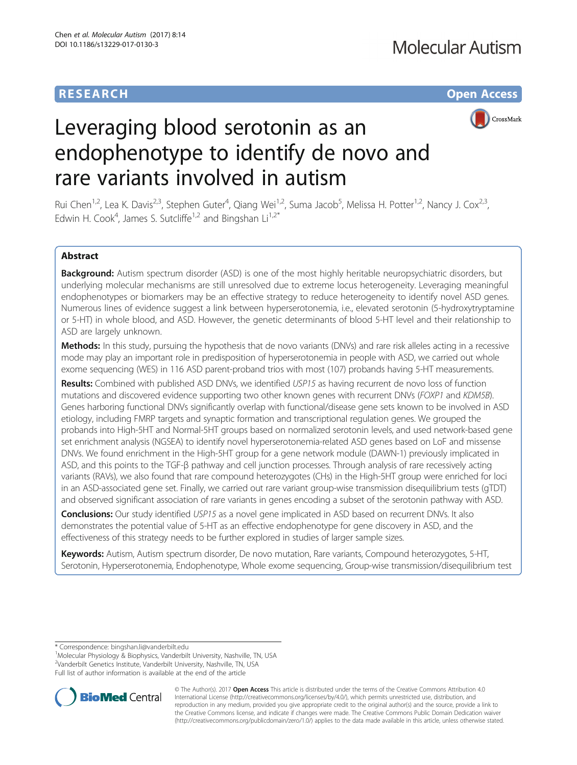## **RESEARCH CHE Open Access**



# Leveraging blood serotonin as an endophenotype to identify de novo and rare variants involved in autism

Rui Chen<sup>1,2</sup>, Lea K. Davis<sup>2,3</sup>, Stephen Guter<sup>4</sup>, Qiang Wei<sup>1,2</sup>, Suma Jacob<sup>5</sup>, Melissa H. Potter<sup>1,2</sup>, Nancy J. Cox<sup>2,3</sup>, Edwin H. Cook<sup>4</sup>, James S. Sutcliffe<sup>1,2</sup> and Bingshan Li<sup>1,2\*</sup>

## Abstract

Background: Autism spectrum disorder (ASD) is one of the most highly heritable neuropsychiatric disorders, but underlying molecular mechanisms are still unresolved due to extreme locus heterogeneity. Leveraging meaningful endophenotypes or biomarkers may be an effective strategy to reduce heterogeneity to identify novel ASD genes. Numerous lines of evidence suggest a link between hyperserotonemia, i.e., elevated serotonin (5-hydroxytryptamine or 5-HT) in whole blood, and ASD. However, the genetic determinants of blood 5-HT level and their relationship to ASD are largely unknown.

Methods: In this study, pursuing the hypothesis that de novo variants (DNVs) and rare risk alleles acting in a recessive mode may play an important role in predisposition of hyperserotonemia in people with ASD, we carried out whole exome sequencing (WES) in 116 ASD parent-proband trios with most (107) probands having 5-HT measurements.

Results: Combined with published ASD DNVs, we identified USP15 as having recurrent de novo loss of function mutations and discovered evidence supporting two other known genes with recurrent DNVs (FOXP1 and KDM5B). Genes harboring functional DNVs significantly overlap with functional/disease gene sets known to be involved in ASD etiology, including FMRP targets and synaptic formation and transcriptional regulation genes. We grouped the probands into High-5HT and Normal-5HT groups based on normalized serotonin levels, and used network-based gene set enrichment analysis (NGSEA) to identify novel hyperserotonemia-related ASD genes based on LoF and missense DNVs. We found enrichment in the High-5HT group for a gene network module (DAWN-1) previously implicated in ASD, and this points to the TGF-β pathway and cell junction processes. Through analysis of rare recessively acting variants (RAVs), we also found that rare compound heterozygotes (CHs) in the High-5HT group were enriched for loci in an ASD-associated gene set. Finally, we carried out rare variant group-wise transmission disequilibrium tests (gTDT) and observed significant association of rare variants in genes encoding a subset of the serotonin pathway with ASD.

**Conclusions:** Our study identified USP15 as a novel gene implicated in ASD based on recurrent DNVs. It also demonstrates the potential value of 5-HT as an effective endophenotype for gene discovery in ASD, and the effectiveness of this strategy needs to be further explored in studies of larger sample sizes.

Keywords: Autism, Autism spectrum disorder, De novo mutation, Rare variants, Compound heterozygotes, 5-HT, Serotonin, Hyperserotonemia, Endophenotype, Whole exome sequencing, Group-wise transmission/disequilibrium test

\* Correspondence: [bingshan.li@vanderbilt.edu](mailto:bingshan.li@vanderbilt.edu) <sup>1</sup>

<sup>1</sup>Molecular Physiology & Biophysics, Vanderbilt University, Nashville, TN, USA 2 Vanderbilt Genetics Institute, Vanderbilt University, Nashville, TN, USA Full list of author information is available at the end of the article



© The Author(s). 2017 **Open Access** This article is distributed under the terms of the Creative Commons Attribution 4.0 International License [\(http://creativecommons.org/licenses/by/4.0/](http://creativecommons.org/licenses/by/4.0/)), which permits unrestricted use, distribution, and reproduction in any medium, provided you give appropriate credit to the original author(s) and the source, provide a link to the Creative Commons license, and indicate if changes were made. The Creative Commons Public Domain Dedication waiver [\(http://creativecommons.org/publicdomain/zero/1.0/](http://creativecommons.org/publicdomain/zero/1.0/)) applies to the data made available in this article, unless otherwise stated.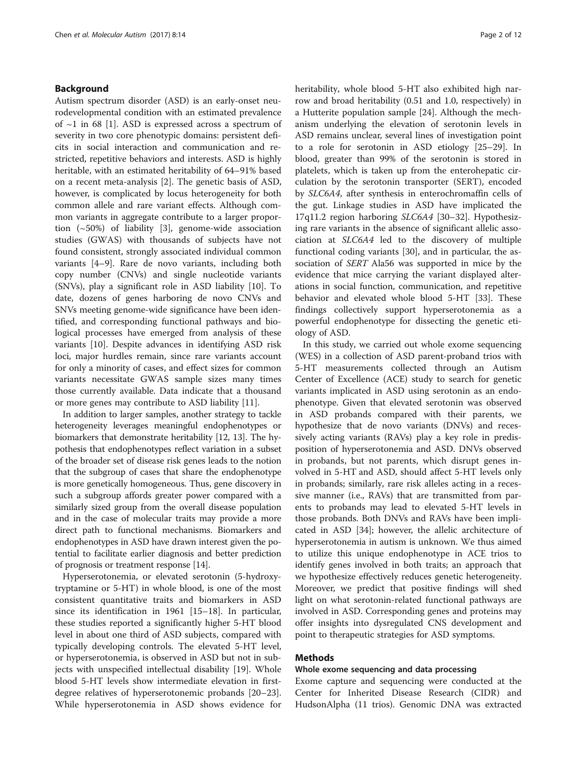## <span id="page-1-0"></span>Background

Autism spectrum disorder (ASD) is an early-onset neurodevelopmental condition with an estimated prevalence of  $\sim$ 1 in 68 [\[1](#page-10-0)]. ASD is expressed across a spectrum of severity in two core phenotypic domains: persistent deficits in social interaction and communication and restricted, repetitive behaviors and interests. ASD is highly heritable, with an estimated heritability of 64–91% based on a recent meta-analysis [\[2](#page-10-0)]. The genetic basis of ASD, however, is complicated by locus heterogeneity for both common allele and rare variant effects. Although common variants in aggregate contribute to a larger proportion  $({\sim}50\%)$  of liability [\[3](#page-10-0)], genome-wide association studies (GWAS) with thousands of subjects have not found consistent, strongly associated individual common variants [\[4](#page-10-0)–[9](#page-10-0)]. Rare de novo variants, including both copy number (CNVs) and single nucleotide variants (SNVs), play a significant role in ASD liability [[10](#page-10-0)]. To date, dozens of genes harboring de novo CNVs and SNVs meeting genome-wide significance have been identified, and corresponding functional pathways and biological processes have emerged from analysis of these variants [\[10](#page-10-0)]. Despite advances in identifying ASD risk loci, major hurdles remain, since rare variants account for only a minority of cases, and effect sizes for common variants necessitate GWAS sample sizes many times those currently available. Data indicate that a thousand or more genes may contribute to ASD liability [[11\]](#page-10-0).

In addition to larger samples, another strategy to tackle heterogeneity leverages meaningful endophenotypes or biomarkers that demonstrate heritability [[12](#page-10-0), [13](#page-10-0)]. The hypothesis that endophenotypes reflect variation in a subset of the broader set of disease risk genes leads to the notion that the subgroup of cases that share the endophenotype is more genetically homogeneous. Thus, gene discovery in such a subgroup affords greater power compared with a similarly sized group from the overall disease population and in the case of molecular traits may provide a more direct path to functional mechanisms. Biomarkers and endophenotypes in ASD have drawn interest given the potential to facilitate earlier diagnosis and better prediction of prognosis or treatment response [\[14\]](#page-10-0).

Hyperserotonemia, or elevated serotonin (5-hydroxytryptamine or 5-HT) in whole blood, is one of the most consistent quantitative traits and biomarkers in ASD since its identification in 1961 [\[15](#page-10-0)–[18\]](#page-10-0). In particular, these studies reported a significantly higher 5-HT blood level in about one third of ASD subjects, compared with typically developing controls. The elevated 5-HT level, or hyperserotonemia, is observed in ASD but not in subjects with unspecified intellectual disability [\[19\]](#page-10-0). Whole blood 5-HT levels show intermediate elevation in firstdegree relatives of hyperserotonemic probands [[20](#page-10-0)–[23](#page-10-0)]. While hyperserotonemia in ASD shows evidence for heritability, whole blood 5-HT also exhibited high narrow and broad heritability (0.51 and 1.0, respectively) in a Hutterite population sample [[24\]](#page-10-0). Although the mechanism underlying the elevation of serotonin levels in ASD remains unclear, several lines of investigation point to a role for serotonin in ASD etiology [\[25](#page-10-0)–[29\]](#page-10-0). In blood, greater than 99% of the serotonin is stored in platelets, which is taken up from the enterohepatic circulation by the serotonin transporter (SERT), encoded by SLC6A4, after synthesis in enterochromaffin cells of the gut. Linkage studies in ASD have implicated the 17q11.2 region harboring SLC6A4 [\[30](#page-10-0)–[32\]](#page-10-0). Hypothesizing rare variants in the absence of significant allelic association at SLC6A4 led to the discovery of multiple functional coding variants [\[30](#page-10-0)], and in particular, the association of SERT Ala56 was supported in mice by the evidence that mice carrying the variant displayed alterations in social function, communication, and repetitive behavior and elevated whole blood 5-HT [[33](#page-10-0)]. These findings collectively support hyperserotonemia as a powerful endophenotype for dissecting the genetic etiology of ASD.

In this study, we carried out whole exome sequencing (WES) in a collection of ASD parent-proband trios with 5-HT measurements collected through an Autism Center of Excellence (ACE) study to search for genetic variants implicated in ASD using serotonin as an endophenotype. Given that elevated serotonin was observed in ASD probands compared with their parents, we hypothesize that de novo variants (DNVs) and recessively acting variants (RAVs) play a key role in predisposition of hyperserotonemia and ASD. DNVs observed in probands, but not parents, which disrupt genes involved in 5-HT and ASD, should affect 5-HT levels only in probands; similarly, rare risk alleles acting in a recessive manner (i.e., RAVs) that are transmitted from parents to probands may lead to elevated 5-HT levels in those probands. Both DNVs and RAVs have been implicated in ASD [[34\]](#page-10-0); however, the allelic architecture of hyperserotonemia in autism is unknown. We thus aimed to utilize this unique endophenotype in ACE trios to identify genes involved in both traits; an approach that we hypothesize effectively reduces genetic heterogeneity. Moreover, we predict that positive findings will shed light on what serotonin-related functional pathways are involved in ASD. Corresponding genes and proteins may offer insights into dysregulated CNS development and point to therapeutic strategies for ASD symptoms.

## Methods

## Whole exome sequencing and data processing

Exome capture and sequencing were conducted at the Center for Inherited Disease Research (CIDR) and HudsonAlpha (11 trios). Genomic DNA was extracted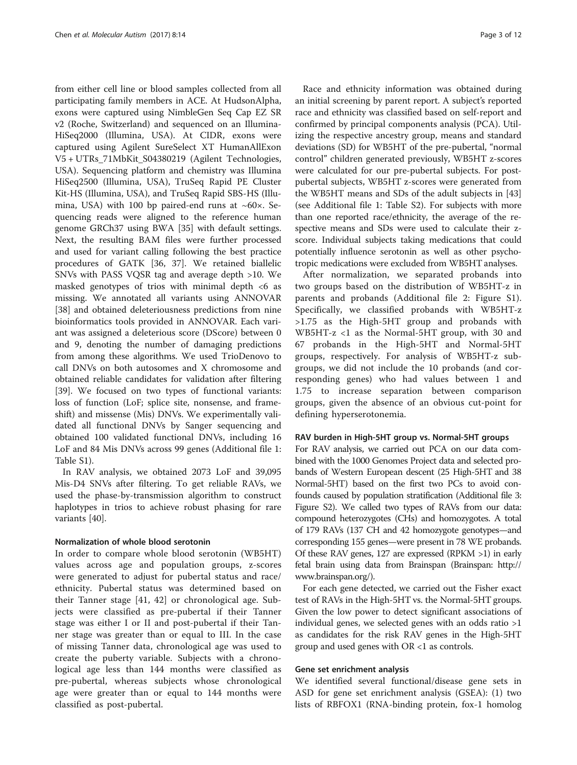from either cell line or blood samples collected from all participating family members in ACE. At HudsonAlpha, exons were captured using NimbleGen Seq Cap EZ SR v2 (Roche, Switzerland) and sequenced on an Illumina-HiSeq2000 (Illumina, USA). At CIDR, exons were captured using Agilent SureSelect XT HumanAllExon V5 + UTRs\_71MbKit\_S04380219 (Agilent Technologies, USA). Sequencing platform and chemistry was Illumina HiSeq2500 (Illumina, USA), TruSeq Rapid PE Cluster Kit-HS (Illumina, USA), and TruSeq Rapid SBS-HS (Illumina, USA) with 100 bp paired-end runs at  $~60\times$ . Sequencing reads were aligned to the reference human genome GRCh37 using BWA [[35\]](#page-11-0) with default settings. Next, the resulting BAM files were further processed and used for variant calling following the best practice procedures of GATK [\[36, 37](#page-11-0)]. We retained biallelic SNVs with PASS VQSR tag and average depth >10. We masked genotypes of trios with minimal depth  $<6$  as missing. We annotated all variants using ANNOVAR [[38\]](#page-11-0) and obtained deleteriousness predictions from nine bioinformatics tools provided in ANNOVAR. Each variant was assigned a deleterious score (DScore) between 0 and 9, denoting the number of damaging predictions from among these algorithms. We used TrioDenovo to call DNVs on both autosomes and X chromosome and obtained reliable candidates for validation after filtering [[39\]](#page-11-0). We focused on two types of functional variants: loss of function (LoF; splice site, nonsense, and frameshift) and missense (Mis) DNVs. We experimentally validated all functional DNVs by Sanger sequencing and obtained 100 validated functional DNVs, including 16 LoF and 84 Mis DNVs across 99 genes (Additional file [1](#page-9-0): Table S1).

In RAV analysis, we obtained 2073 LoF and 39,095 Mis-D4 SNVs after filtering. To get reliable RAVs, we used the phase-by-transmission algorithm to construct haplotypes in trios to achieve robust phasing for rare variants [[40\]](#page-11-0).

#### Normalization of whole blood serotonin

In order to compare whole blood serotonin (WB5HT) values across age and population groups, z-scores were generated to adjust for pubertal status and race/ ethnicity. Pubertal status was determined based on their Tanner stage [[41, 42](#page-11-0)] or chronological age. Subjects were classified as pre-pubertal if their Tanner stage was either I or II and post-pubertal if their Tanner stage was greater than or equal to III. In the case of missing Tanner data, chronological age was used to create the puberty variable. Subjects with a chronological age less than 144 months were classified as pre-pubertal, whereas subjects whose chronological age were greater than or equal to 144 months were classified as post-pubertal.

Race and ethnicity information was obtained during an initial screening by parent report. A subject's reported race and ethnicity was classified based on self-report and confirmed by principal components analysis (PCA). Utilizing the respective ancestry group, means and standard deviations (SD) for WB5HT of the pre-pubertal, "normal control" children generated previously, WB5HT z-scores were calculated for our pre-pubertal subjects. For postpubertal subjects, WB5HT z-scores were generated from the WB5HT means and SDs of the adult subjects in [[43](#page-11-0)] (see Additional file [1:](#page-9-0) Table S2). For subjects with more than one reported race/ethnicity, the average of the respective means and SDs were used to calculate their zscore. Individual subjects taking medications that could potentially influence serotonin as well as other psychotropic medications were excluded from WB5HT analyses.

After normalization, we separated probands into two groups based on the distribution of WB5HT-z in parents and probands (Additional file [2](#page-9-0): Figure S1). Specifically, we classified probands with WB5HT-z >1.75 as the High-5HT group and probands with WB5HT-z <1 as the Normal-5HT group, with 30 and 67 probands in the High-5HT and Normal-5HT groups, respectively. For analysis of WB5HT-z subgroups, we did not include the 10 probands (and corresponding genes) who had values between 1 and 1.75 to increase separation between comparison groups, given the absence of an obvious cut-point for defining hyperserotonemia.

#### RAV burden in High-5HT group vs. Normal-5HT groups

For RAV analysis, we carried out PCA on our data combined with the 1000 Genomes Project data and selected probands of Western European descent (25 High-5HT and 38 Normal-5HT) based on the first two PCs to avoid confounds caused by population stratification (Additional file [3](#page-9-0): Figure S2). We called two types of RAVs from our data: compound heterozygotes (CHs) and homozygotes. A total of 179 RAVs (137 CH and 42 homozygote genotypes—and corresponding 155 genes—were present in 78 WE probands. Of these RAV genes, 127 are expressed (RPKM >1) in early fetal brain using data from Brainspan (Brainspan: [http://](http://www.brainspan.org/) [www.brainspan.org/](http://www.brainspan.org/)).

For each gene detected, we carried out the Fisher exact test of RAVs in the High-5HT vs. the Normal-5HT groups. Given the low power to detect significant associations of individual genes, we selected genes with an odds ratio >1 as candidates for the risk RAV genes in the High-5HT group and used genes with OR <1 as controls.

#### Gene set enrichment analysis

We identified several functional/disease gene sets in ASD for gene set enrichment analysis (GSEA): (1) two lists of RBFOX1 (RNA-binding protein, fox-1 homolog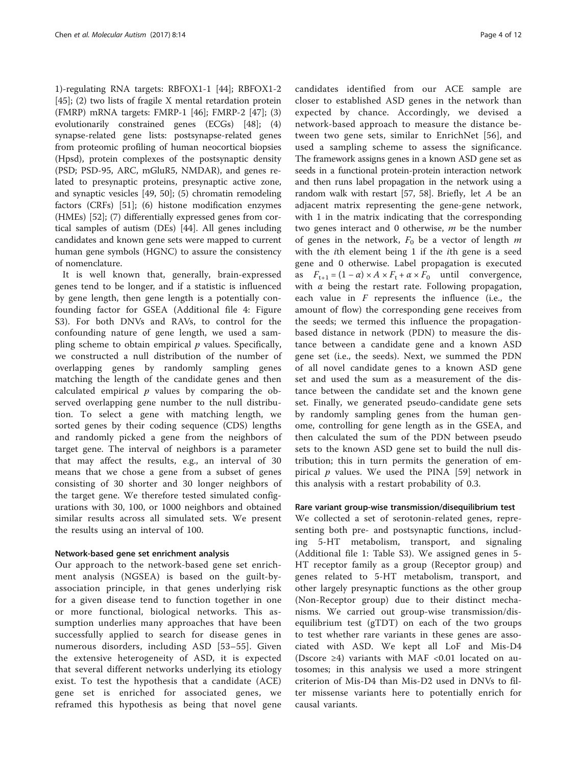1)-regulating RNA targets: RBFOX1-1 [[44\]](#page-11-0); RBFOX1-2 [[45\]](#page-11-0); (2) two lists of fragile X mental retardation protein (FMRP) mRNA targets: FMRP-1 [\[46\]](#page-11-0); FMRP-2 [\[47](#page-11-0)]; (3) evolutionarily constrained genes (ECGs) [\[48](#page-11-0)]; (4) synapse-related gene lists: postsynapse-related genes from proteomic profiling of human neocortical biopsies (Hpsd), protein complexes of the postsynaptic density (PSD; PSD-95, ARC, mGluR5, NMDAR), and genes related to presynaptic proteins, presynaptic active zone, and synaptic vesicles [\[49](#page-11-0), [50\]](#page-11-0); (5) chromatin remodeling factors (CRFs) [\[51\]](#page-11-0); (6) histone modification enzymes (HMEs) [\[52](#page-11-0)]; (7) differentially expressed genes from cortical samples of autism (DEs) [\[44](#page-11-0)]. All genes including candidates and known gene sets were mapped to current human gene symbols (HGNC) to assure the consistency of nomenclature.

It is well known that, generally, brain-expressed genes tend to be longer, and if a statistic is influenced by gene length, then gene length is a potentially confounding factor for GSEA (Additional file [4](#page-9-0): Figure S3). For both DNVs and RAVs, to control for the confounding nature of gene length, we used a sampling scheme to obtain empirical  $p$  values. Specifically, we constructed a null distribution of the number of overlapping genes by randomly sampling genes matching the length of the candidate genes and then calculated empirical  $p$  values by comparing the observed overlapping gene number to the null distribution. To select a gene with matching length, we sorted genes by their coding sequence (CDS) lengths and randomly picked a gene from the neighbors of target gene. The interval of neighbors is a parameter that may affect the results, e.g., an interval of 30 means that we chose a gene from a subset of genes consisting of 30 shorter and 30 longer neighbors of the target gene. We therefore tested simulated configurations with 30, 100, or 1000 neighbors and obtained similar results across all simulated sets. We present the results using an interval of 100.

## Network-based gene set enrichment analysis

Our approach to the network-based gene set enrichment analysis (NGSEA) is based on the guilt-byassociation principle, in that genes underlying risk for a given disease tend to function together in one or more functional, biological networks. This assumption underlies many approaches that have been successfully applied to search for disease genes in numerous disorders, including ASD [[53](#page-11-0)–[55](#page-11-0)]. Given the extensive heterogeneity of ASD, it is expected that several different networks underlying its etiology exist. To test the hypothesis that a candidate (ACE) gene set is enriched for associated genes, we reframed this hypothesis as being that novel gene

candidates identified from our ACE sample are closer to established ASD genes in the network than expected by chance. Accordingly, we devised a network-based approach to measure the distance between two gene sets, similar to EnrichNet [\[56\]](#page-11-0), and used a sampling scheme to assess the significance. The framework assigns genes in a known ASD gene set as seeds in a functional protein-protein interaction network and then runs label propagation in the network using a random walk with restart [\[57, 58](#page-11-0)]. Briefly, let A be an adjacent matrix representing the gene-gene network, with 1 in the matrix indicating that the corresponding two genes interact and  $0$  otherwise,  $m$  be the number of genes in the network,  $F_0$  be a vector of length m with the ith element being 1 if the ith gene is a seed gene and 0 otherwise. Label propagation is executed as  $F_{t+1} = (1 - \alpha) \times A \times F_t + \alpha \times F_0$  until convergence, with  $\alpha$  being the restart rate. Following propagation, each value in  $F$  represents the influence (i.e., the amount of flow) the corresponding gene receives from the seeds; we termed this influence the propagationbased distance in network (PDN) to measure the distance between a candidate gene and a known ASD gene set (i.e., the seeds). Next, we summed the PDN of all novel candidate genes to a known ASD gene set and used the sum as a measurement of the distance between the candidate set and the known gene set. Finally, we generated pseudo-candidate gene sets by randomly sampling genes from the human genome, controlling for gene length as in the GSEA, and then calculated the sum of the PDN between pseudo sets to the known ASD gene set to build the null distribution; this in turn permits the generation of empirical  $p$  values. We used the PINA [[59\]](#page-11-0) network in this analysis with a restart probability of 0.3.

#### Rare variant group-wise transmission/disequilibrium test

We collected a set of serotonin-related genes, representing both pre- and postsynaptic functions, including 5-HT metabolism, transport, and signaling (Additional file [1](#page-9-0): Table S3). We assigned genes in 5- HT receptor family as a group (Receptor group) and genes related to 5-HT metabolism, transport, and other largely presynaptic functions as the other group (Non-Receptor group) due to their distinct mechanisms. We carried out group-wise transmission/disequilibrium test (gTDT) on each of the two groups to test whether rare variants in these genes are associated with ASD. We kept all LoF and Mis-D4 (Dscore ≥4) variants with MAF <0.01 located on autosomes; in this analysis we used a more stringent criterion of Mis-D4 than Mis-D2 used in DNVs to filter missense variants here to potentially enrich for causal variants.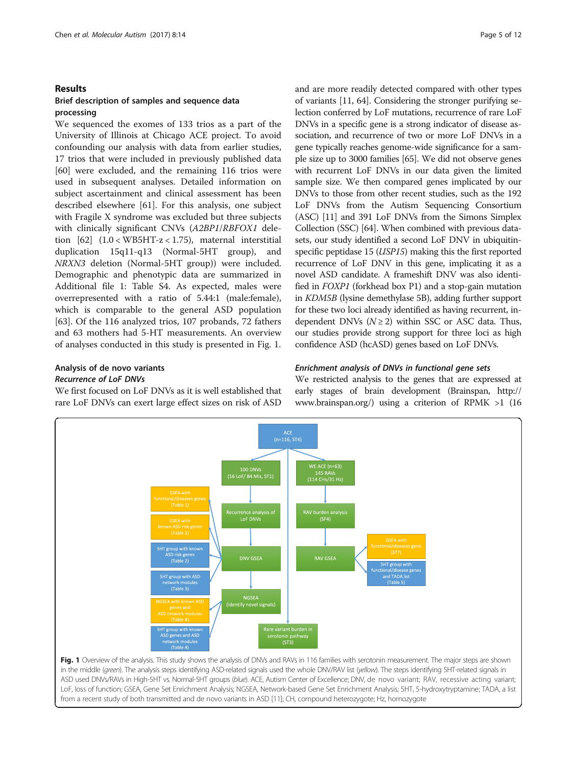## Results

## Brief description of samples and sequence data processing

We sequenced the exomes of 133 trios as a part of the University of Illinois at Chicago ACE project. To avoid confounding our analysis with data from earlier studies, 17 trios that were included in previously published data [[60\]](#page-11-0) were excluded, and the remaining 116 trios were used in subsequent analyses. Detailed information on subject ascertainment and clinical assessment has been described elsewhere [\[61](#page-11-0)]. For this analysis, one subject with Fragile X syndrome was excluded but three subjects with clinically significant CNVs (A2BP1/RBFOX1 deletion  $[62]$  $[62]$  $[62]$   $(1.0 < WB5HT-z < 1.75)$ , maternal interstitial duplication 15q11-q13 (Normal-5HT group), and NRXN3 deletion (Normal-5HT group)) were included. Demographic and phenotypic data are summarized in Additional file [1](#page-9-0): Table S4. As expected, males were overrepresented with a ratio of 5.44:1 (male:female), which is comparable to the general ASD population [[63\]](#page-11-0). Of the 116 analyzed trios, 107 probands, 72 fathers and 63 mothers had 5-HT measurements. An overview of analyses conducted in this study is presented in Fig. 1.

## Analysis of de novo variants Recurrence of LoF DNVs

We first focused on LoF DNVs as it is well established that rare LoF DNVs can exert large effect sizes on risk of ASD and are more readily detected compared with other types of variants [\[11](#page-10-0), [64\]](#page-11-0). Considering the stronger purifying selection conferred by LoF mutations, recurrence of rare LoF DNVs in a specific gene is a strong indicator of disease association, and recurrence of two or more LoF DNVs in a gene typically reaches genome-wide significance for a sample size up to 3000 families [\[65](#page-11-0)]. We did not observe genes with recurrent LoF DNVs in our data given the limited sample size. We then compared genes implicated by our DNVs to those from other recent studies, such as the 192 LoF DNVs from the Autism Sequencing Consortium (ASC) [[11](#page-10-0)] and 391 LoF DNVs from the Simons Simplex Collection (SSC) [\[64\]](#page-11-0). When combined with previous datasets, our study identified a second LoF DNV in ubiquitinspecific peptidase 15 (*USP15*) making this the first reported recurrence of LoF DNV in this gene, implicating it as a novel ASD candidate. A frameshift DNV was also identified in FOXP1 (forkhead box P1) and a stop-gain mutation in KDM5B (lysine demethylase 5B), adding further support for these two loci already identified as having recurrent, independent DNVs ( $N \geq 2$ ) within SSC or ASC data. Thus, our studies provide strong support for three loci as high confidence ASD (hcASD) genes based on LoF DNVs.

## Enrichment analysis of DNVs in functional gene sets

We restricted analysis to the genes that are expressed at early stages of brain development (Brainspan, [http://](http://www.brainspan.org/) [www.brainspan.org/](http://www.brainspan.org/)) using a criterion of RPMK >1 (16



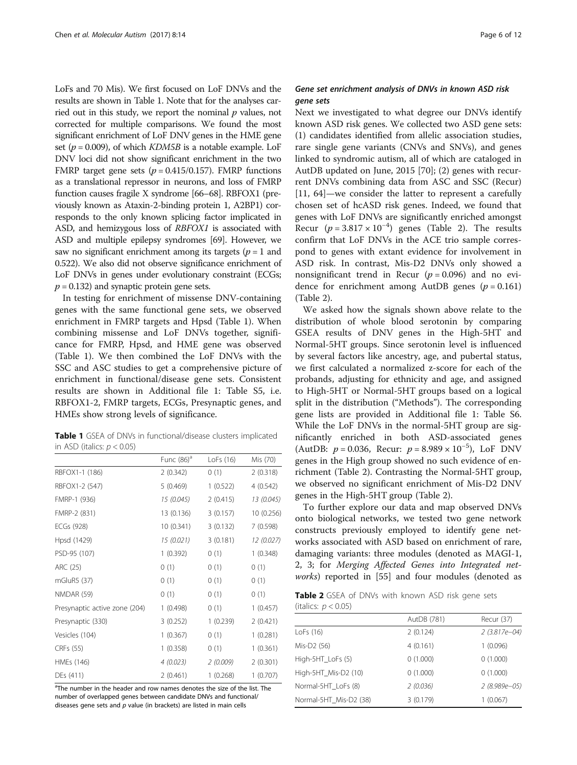<span id="page-5-0"></span>LoFs and 70 Mis). We first focused on LoF DNVs and the results are shown in Table 1. Note that for the analyses carried out in this study, we report the nominal  $p$  values, not corrected for multiple comparisons. We found the most significant enrichment of LoF DNV genes in the HME gene set ( $p = 0.009$ ), of which *KDM5B* is a notable example. LoF DNV loci did not show significant enrichment in the two FMRP target gene sets ( $p = 0.415/0.157$ ). FMRP functions as a translational repressor in neurons, and loss of FMRP function causes fragile X syndrome [[66](#page-11-0)–[68](#page-11-0)]. RBFOX1 (previously known as Ataxin-2-binding protein 1, A2BP1) corresponds to the only known splicing factor implicated in ASD, and hemizygous loss of RBFOX1 is associated with ASD and multiple epilepsy syndromes [\[69](#page-11-0)]. However, we saw no significant enrichment among its targets ( $p = 1$  and 0.522). We also did not observe significance enrichment of LoF DNVs in genes under evolutionary constraint (ECGs;  $p = 0.132$ ) and synaptic protein gene sets.

In testing for enrichment of missense DNV-containing genes with the same functional gene sets, we observed enrichment in FMRP targets and Hpsd (Table 1). When combining missense and LoF DNVs together, significance for FMRP, Hpsd, and HME gene was observed (Table 1). We then combined the LoF DNVs with the SSC and ASC studies to get a comprehensive picture of enrichment in functional/disease gene sets. Consistent results are shown in Additional file [1:](#page-9-0) Table S5, i.e. RBFOX1-2, FMRP targets, ECGs, Presynaptic genes, and HMEs show strong levels of significance.

| Table 1 GSEA of DNVs in functional/disease clusters implicated |  |
|----------------------------------------------------------------|--|
| in ASD (italics: $p < 0.05$ )                                  |  |

|                               | Func $(86)^a$ | LoFs (16) | Mis (70)   |
|-------------------------------|---------------|-----------|------------|
| RBFOX1-1 (186)                | 2(0.342)      | 0(1)      | 2(0.318)   |
| RBFOX1-2 (547)                | 5(0.469)      | 1(0.522)  | 4 (0.542)  |
| FMRP-1 (936)                  | 15 (0.045)    | 2(0.415)  | 13 (0.045) |
| FMRP-2 (831)                  | 13 (0.136)    | 3(0.157)  | 10 (0.256) |
| ECGs (928)                    | 10 (0.341)    | 3(0.132)  | 7(0.598)   |
| Hpsd (1429)                   | 15 (0.021)    | 3(0.181)  | 12 (0.027) |
| PSD-95 (107)                  | 1(0.392)      | 0(1)      | 1(0.348)   |
| ARC (25)                      | 0(1)          | 0(1)      | 0(1)       |
| mGluR5 (37)                   | 0(1)          | 0(1)      | 0(1)       |
| <b>NMDAR (59)</b>             | 0(1)          | 0(1)      | 0(1)       |
| Presynaptic active zone (204) | 1(0.498)      | 0(1)      | 1(0.457)   |
| Presynaptic (330)             | 3(0.252)      | 1(0.239)  | 2(0.421)   |
| Vesicles (104)                | 1(0.367)      | 0(1)      | 1(0.281)   |
| CRFs (55)                     | 1(0.358)      | 0(1)      | 1(0.361)   |
| HMEs (146)                    | 4(0.023)      | 2(0.009)  | 2(0.301)   |
| DEs (411)                     | 2(0.461)      | 1(0.268)  | 1(0.707)   |

<sup>a</sup>The number in the header and row names denotes the size of the list. The number of overlapped genes between candidate DNVs and functional/ diseases gene sets and  $p$  value (in brackets) are listed in main cells

## Gene set enrichment analysis of DNVs in known ASD risk gene sets

Next we investigated to what degree our DNVs identify known ASD risk genes. We collected two ASD gene sets: (1) candidates identified from allelic association studies, rare single gene variants (CNVs and SNVs), and genes linked to syndromic autism, all of which are cataloged in AutDB updated on June, 2015 [[70\]](#page-11-0); (2) genes with recurrent DNVs combining data from ASC and SSC (Recur) [[11,](#page-10-0) [64\]](#page-11-0)—we consider the latter to represent a carefully chosen set of hcASD risk genes. Indeed, we found that genes with LoF DNVs are significantly enriched amongst Recur ( $p = 3.817 \times 10^{-4}$ ) genes (Table 2). The results confirm that LoF DNVs in the ACE trio sample correspond to genes with extant evidence for involvement in ASD risk. In contrast, Mis-D2 DNVs only showed a nonsignificant trend in Recur ( $p = 0.096$ ) and no evidence for enrichment among AutDB genes ( $p = 0.161$ ) (Table 2).

We asked how the signals shown above relate to the distribution of whole blood serotonin by comparing GSEA results of DNV genes in the High-5HT and Normal-5HT groups. Since serotonin level is influenced by several factors like ancestry, age, and pubertal status, we first calculated a normalized z-score for each of the probands, adjusting for ethnicity and age, and assigned to High-5HT or Normal-5HT groups based on a logical split in the distribution ("[Methods](#page-1-0)"). The corresponding gene lists are provided in Additional file [1](#page-9-0): Table S6. While the LoF DNVs in the normal-5HT group are significantly enriched in both ASD-associated genes (AutDB:  $p = 0.036$ , Recur:  $p = 8.989 \times 10^{-5}$ ), LoF DNV genes in the High group showed no such evidence of enrichment (Table 2). Contrasting the Normal-5HT group, we observed no significant enrichment of Mis-D2 DNV genes in the High-5HT group (Table 2).

To further explore our data and map observed DNVs onto biological networks, we tested two gene network constructs previously employed to identify gene networks associated with ASD based on enrichment of rare, damaging variants: three modules (denoted as MAGI-1, 2, 3; for Merging Affected Genes into Integrated net-works) reported in [\[55\]](#page-11-0) and four modules (denoted as

Table 2 GSEA of DNVs with known ASD risk gene sets (italics:  $p < 0.05$ )

|                        | AutDB (781) | Recur (37)     |
|------------------------|-------------|----------------|
| LoFs (16)              | 2(0.124)    | 2 (3.817e-04)  |
| Mis-D2 (56)            | 4(0.161)    | 1(0.096)       |
| High-5HT_LoFs (5)      | 0(1.000)    | 0(1.000)       |
| High-5HT_Mis-D2 (10)   | 0(1.000)    | 0(1.000)       |
| Normal-5HT_LoFs (8)    | 2(0.036)    | $2(8.989e-05)$ |
| Normal-5HT_Mis-D2 (38) | 3(0.179)    | 1(0.067)       |
|                        |             |                |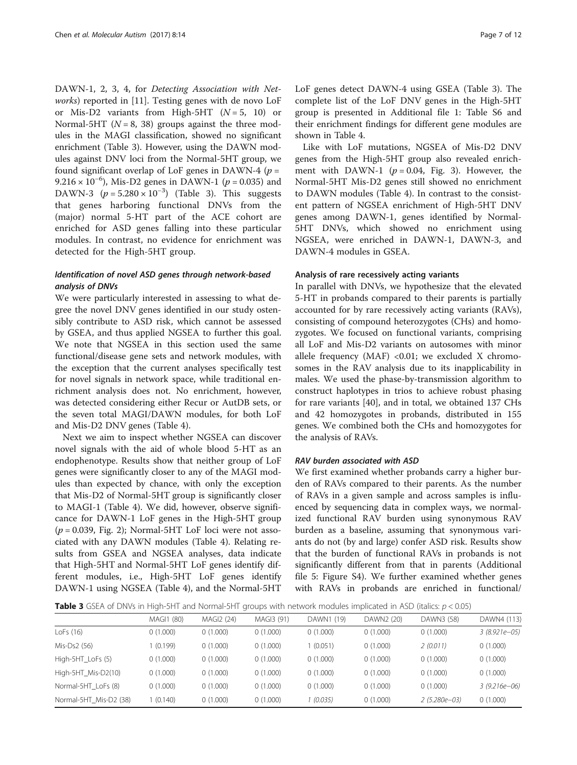DAWN-1, 2, 3, 4, for Detecting Association with Net-works) reported in [[11\]](#page-10-0). Testing genes with de novo LoF or Mis-D2 variants from High-5HT  $(N = 5, 10)$  or Normal-5HT ( $N = 8$ , 38) groups against the three modules in the MAGI classification, showed no significant enrichment (Table 3). However, using the DAWN modules against DNV loci from the Normal-5HT group, we found significant overlap of LoF genes in DAWN-4 ( $p =$ 9.216 × 10<sup>-6</sup>), Mis-D2 genes in DAWN-1 ( $p = 0.035$ ) and DAWN-3  $(p = 5.280 \times 10^{-3})$  (Table 3). This suggests that genes harboring functional DNVs from the (major) normal 5-HT part of the ACE cohort are enriched for ASD genes falling into these particular modules. In contrast, no evidence for enrichment was detected for the High-5HT group.

## Identification of novel ASD genes through network-based analysis of DNVs

We were particularly interested in assessing to what degree the novel DNV genes identified in our study ostensibly contribute to ASD risk, which cannot be assessed by GSEA, and thus applied NGSEA to further this goal. We note that NGSEA in this section used the same functional/disease gene sets and network modules, with the exception that the current analyses specifically test for novel signals in network space, while traditional enrichment analysis does not. No enrichment, however, was detected considering either Recur or AutDB sets, or the seven total MAGI/DAWN modules, for both LoF and Mis-D2 DNV genes (Table [4\)](#page-7-0).

Next we aim to inspect whether NGSEA can discover novel signals with the aid of whole blood 5-HT as an endophenotype. Results show that neither group of LoF genes were significantly closer to any of the MAGI modules than expected by chance, with only the exception that Mis-D2 of Normal-5HT group is significantly closer to MAGI-1 (Table [4\)](#page-7-0). We did, however, observe significance for DAWN-1 LoF genes in the High-5HT group  $(p = 0.039,$  Fig. [2](#page-7-0)); Normal-5HT LoF loci were not associated with any DAWN modules (Table [4\)](#page-7-0). Relating results from GSEA and NGSEA analyses, data indicate that High-5HT and Normal-5HT LoF genes identify different modules, i.e., High-5HT LoF genes identify DAWN-1 using NGSEA (Table [4\)](#page-7-0), and the Normal-5HT

LoF genes detect DAWN-4 using GSEA (Table 3). The complete list of the LoF DNV genes in the High-5HT group is presented in Additional file [1:](#page-9-0) Table S6 and their enrichment findings for different gene modules are shown in Table [4.](#page-7-0)

Like with LoF mutations, NGSEA of Mis-D2 DNV genes from the High-5HT group also revealed enrichment with DAWN-1 ( $p = 0.04$ , Fig. [3](#page-7-0)). However, the Normal-5HT Mis-D2 genes still showed no enrichment to DAWN modules (Table [4](#page-7-0)). In contrast to the consistent pattern of NGSEA enrichment of High-5HT DNV genes among DAWN-1, genes identified by Normal-5HT DNVs, which showed no enrichment using NGSEA, were enriched in DAWN-1, DAWN-3, and DAWN-4 modules in GSEA.

#### Analysis of rare recessively acting variants

In parallel with DNVs, we hypothesize that the elevated 5-HT in probands compared to their parents is partially accounted for by rare recessively acting variants (RAVs), consisting of compound heterozygotes (CHs) and homozygotes. We focused on functional variants, comprising all LoF and Mis-D2 variants on autosomes with minor allele frequency (MAF) < $0.01$ ; we excluded X chromosomes in the RAV analysis due to its inapplicability in males. We used the phase-by-transmission algorithm to construct haplotypes in trios to achieve robust phasing for rare variants [[40](#page-11-0)], and in total, we obtained 137 CHs and 42 homozygotes in probands, distributed in 155 genes. We combined both the CHs and homozygotes for the analysis of RAVs.

#### RAV burden associated with ASD

We first examined whether probands carry a higher burden of RAVs compared to their parents. As the number of RAVs in a given sample and across samples is influenced by sequencing data in complex ways, we normalized functional RAV burden using synonymous RAV burden as a baseline, assuming that synonymous variants do not (by and large) confer ASD risk. Results show that the burden of functional RAVs in probands is not significantly different from that in parents (Additional file [5](#page-9-0): Figure S4). We further examined whether genes with RAVs in probands are enriched in functional/

**Table 3** GSEA of DNVs in High-5HT and Normal-5HT groups with network modules implicated in ASD (italics:  $p < 0.05$ )

|                        | MAGI1 (80) | MAGI2 (24) | MAGI3 (91) | DAWN1 (19) | DAWN2 (20) | DAWN3 (58)       | DAWN4 (113)      |
|------------------------|------------|------------|------------|------------|------------|------------------|------------------|
| LoFs $(16)$            | 0(1.000)   | 0(1.000)   | 0(1.000)   | 0(1.000)   | 0(1.000)   | 0(1.000)         | $3(8.921e-05)$   |
| Mis-Ds2 (56)           | (0.199)    | 0(1.000)   | 0(1.000)   | (0.051)    | 0(1.000)   | 2(0.011)         | 0(1.000)         |
| High-5HT_LoFs (5)      | 0(1.000)   | 0(1.000)   | 0(1.000)   | 0(1.000)   | 0(1.000)   | 0(1.000)         | 0(1.000)         |
| High-5HT_Mis-D2(10)    | 0(1.000)   | 0(1.000)   | 0(1.000)   | 0(1.000)   | 0(1.000)   | 0(1.000)         | 0(1.000)         |
| Normal-5HT LoFs (8)    | 0(1.000)   | 0(1.000)   | 0(1.000)   | 0(1.000)   | 0(1.000)   | 0(1.000)         | $3(9.216e - 06)$ |
| Normal-5HT Mis-D2 (38) | (0.140)    | 0(1.000)   | 0(1.000)   | (0.035)    | 0(1.000)   | $2(5.280e - 03)$ | 0(1.000)         |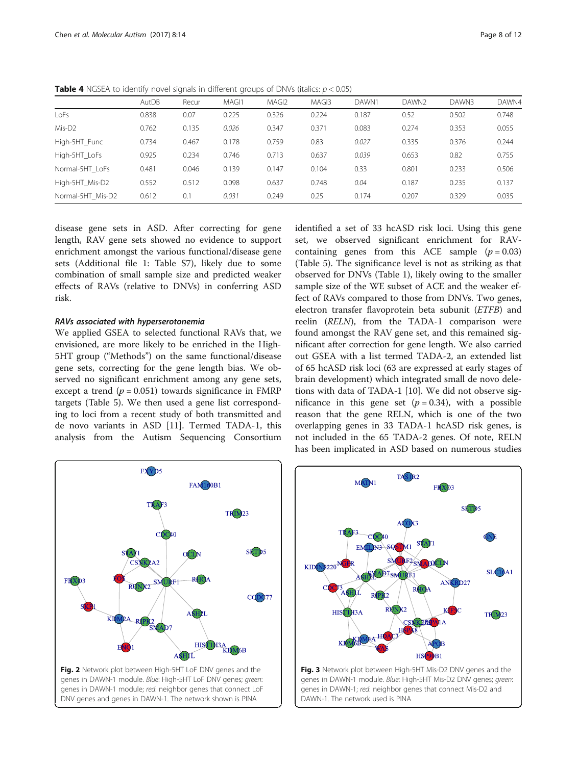|                    |       | $\tilde{}$ |                  |                   |                   |       |                   |       |       |
|--------------------|-------|------------|------------------|-------------------|-------------------|-------|-------------------|-------|-------|
|                    | AutDB | Recur      | MAG <sub>1</sub> | MAGI <sub>2</sub> | MAG <sub>13</sub> | DAWN1 | DAWN <sub>2</sub> | DAWN3 | DAWN4 |
| LoFs               | 0.838 | 0.07       | 0.225            | 0.326             | 0.224             | 0.187 | 0.52              | 0.502 | 0.748 |
| Mis-D <sub>2</sub> | 0.762 | 0.135      | 0.026            | 0.347             | 0.371             | 0.083 | 0.274             | 0.353 | 0.055 |
| High-5HT Func      | 0.734 | 0.467      | 0.178            | 0.759             | 0.83              | 0.027 | 0.335             | 0.376 | 0.244 |
| High-5HT LoFs      | 0.925 | 0.234      | 0.746            | 0.713             | 0.637             | 0.039 | 0.653             | 0.82  | 0.755 |
| Normal-5HT LoFs    | 0.481 | 0.046      | 0.139            | 0.147             | 0.104             | 0.33  | 0.801             | 0.233 | 0.506 |
| High-5HT Mis-D2    | 0.552 | 0.512      | 0.098            | 0.637             | 0.748             | 0.04  | 0.187             | 0.235 | 0.137 |
| Normal-5HT Mis-D2  | 0.612 | 0.1        | 0.031            | 0.249             | 0.25              | 0.174 | 0.207             | 0.329 | 0.035 |
|                    |       |            |                  |                   |                   |       |                   |       |       |

<span id="page-7-0"></span>**Table 4** NGSEA to identify novel signals in different groups of DNVs (italics:  $p < 0.05$ )

disease gene sets in ASD. After correcting for gene length, RAV gene sets showed no evidence to support enrichment amongst the various functional/disease gene sets (Additional file [1](#page-9-0): Table S7), likely due to some combination of small sample size and predicted weaker effects of RAVs (relative to DNVs) in conferring ASD risk.

## RAVs associated with hyperserotonemia

We applied GSEA to selected functional RAVs that, we envisioned, are more likely to be enriched in the High-5HT group ("[Methods](#page-1-0)") on the same functional/disease gene sets, correcting for the gene length bias. We observed no significant enrichment among any gene sets, except a trend  $(p = 0.051)$  towards significance in FMRP targets (Table [5](#page-8-0)). We then used a gene list corresponding to loci from a recent study of both transmitted and de novo variants in ASD [[11\]](#page-10-0). Termed TADA-1, this analysis from the Autism Sequencing Consortium identified a set of 33 hcASD risk loci. Using this gene set, we observed significant enrichment for RAVcontaining genes from this ACE sample  $(p = 0.03)$ (Table [5](#page-8-0)). The significance level is not as striking as that observed for DNVs (Table [1\)](#page-5-0), likely owing to the smaller sample size of the WE subset of ACE and the weaker effect of RAVs compared to those from DNVs. Two genes, electron transfer flavoprotein beta subunit (ETFB) and reelin (RELN), from the TADA-1 comparison were found amongst the RAV gene set, and this remained significant after correction for gene length. We also carried out GSEA with a list termed TADA-2, an extended list of 65 hcASD risk loci (63 are expressed at early stages of brain development) which integrated small de novo deletions with data of TADA-1 [\[10](#page-10-0)]. We did not observe significance in this gene set  $(p = 0.34)$ , with a possible reason that the gene RELN, which is one of the two overlapping genes in 33 TADA-1 hcASD risk genes, is not included in the 65 TADA-2 genes. Of note, RELN has been implicated in ASD based on numerous studies





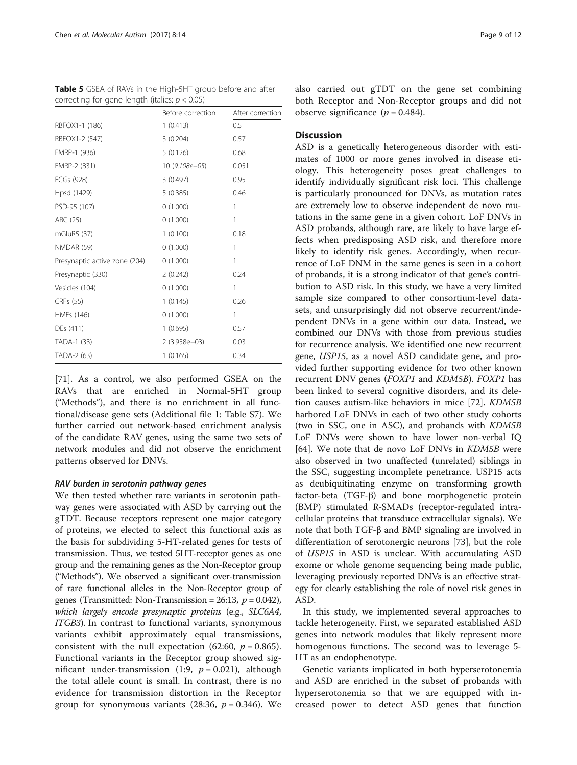<span id="page-8-0"></span>

| <b>Table 5</b> GSEA of RAVs in the High-5HT group before and after |  |  |
|--------------------------------------------------------------------|--|--|
| correcting for gene length (italics: $p < 0.05$ )                  |  |  |

|                               | Before correction | After correction |
|-------------------------------|-------------------|------------------|
| RBFOX1-1 (186)                | 1(0.413)          | 0.5              |
| RBFOX1-2 (547)                | 3(0.204)          | 0.57             |
| FMRP-1 (936)                  | 5(0.126)          | 0.68             |
| FMRP-2 (831)                  | 10 (9.108e-05)    | 0.051            |
| ECGs (928)                    | 3(0.497)          | 0.95             |
| Hpsd (1429)                   | 5(0.385)          | 0.46             |
| PSD-95 (107)                  | 0(1.000)          | 1                |
| ARC (25)                      | 0(1.000)          | 1                |
| mGluR5 (37)                   | 1(0.100)          | 0.18             |
| NMDAR (59)                    | 0(1.000)          | 1                |
| Presynaptic active zone (204) | 0(1.000)          | 1                |
| Presynaptic (330)             | 2(0.242)          | 0.24             |
| Vesicles (104)                | 0(1.000)          | 1                |
| CRFs (55)                     | 1(0.145)          | 0.26             |
| HMEs (146)                    | 0(1.000)          | 1                |
| DEs (411)                     | 1(0.695)          | 0.57             |
| TADA-1 (33)                   | $2(3.958e-03)$    | 0.03             |
| TADA-2 (63)                   | 1(0.165)          | 0.34             |

[[71\]](#page-11-0). As a control, we also performed GSEA on the RAVs that are enriched in Normal-5HT group ("[Methods](#page-1-0)"), and there is no enrichment in all functional/disease gene sets (Additional file [1:](#page-9-0) Table S7). We further carried out network-based enrichment analysis of the candidate RAV genes, using the same two sets of network modules and did not observe the enrichment patterns observed for DNVs.

#### RAV burden in serotonin pathway genes

We then tested whether rare variants in serotonin pathway genes were associated with ASD by carrying out the gTDT. Because receptors represent one major category of proteins, we elected to select this functional axis as the basis for subdividing 5-HT-related genes for tests of transmission. Thus, we tested 5HT-receptor genes as one group and the remaining genes as the Non-Receptor group ("[Methods](#page-1-0)"). We observed a significant over-transmission of rare functional alleles in the Non-Receptor group of genes (Transmitted: Non-Transmission = 26:13,  $p = 0.042$ ), which largely encode presynaptic proteins (e.g., SLC6A4, ITGB3). In contrast to functional variants, synonymous variants exhibit approximately equal transmissions, consistent with the null expectation (62:60,  $p = 0.865$ ). Functional variants in the Receptor group showed significant under-transmission (1:9,  $p = 0.021$ ), although the total allele count is small. In contrast, there is no evidence for transmission distortion in the Receptor group for synonymous variants  $(28:36, p = 0.346)$ . We also carried out gTDT on the gene set combining both Receptor and Non-Receptor groups and did not observe significance  $(p = 0.484)$ .

## **Discussion**

ASD is a genetically heterogeneous disorder with estimates of 1000 or more genes involved in disease etiology. This heterogeneity poses great challenges to identify individually significant risk loci. This challenge is particularly pronounced for DNVs, as mutation rates are extremely low to observe independent de novo mutations in the same gene in a given cohort. LoF DNVs in ASD probands, although rare, are likely to have large effects when predisposing ASD risk, and therefore more likely to identify risk genes. Accordingly, when recurrence of LoF DNM in the same genes is seen in a cohort of probands, it is a strong indicator of that gene's contribution to ASD risk. In this study, we have a very limited sample size compared to other consortium-level datasets, and unsurprisingly did not observe recurrent/independent DNVs in a gene within our data. Instead, we combined our DNVs with those from previous studies for recurrence analysis. We identified one new recurrent gene, USP15, as a novel ASD candidate gene, and provided further supporting evidence for two other known recurrent DNV genes (FOXP1 and KDM5B). FOXP1 has been linked to several cognitive disorders, and its deletion causes autism-like behaviors in mice [[72\]](#page-11-0). KDM5B harbored LoF DNVs in each of two other study cohorts (two in SSC, one in ASC), and probands with KDM5B LoF DNVs were shown to have lower non-verbal IQ [[64\]](#page-11-0). We note that de novo LoF DNVs in KDM5B were also observed in two unaffected (unrelated) siblings in the SSC, suggesting incomplete penetrance. USP15 acts as deubiquitinating enzyme on transforming growth factor-beta (TGF-β) and bone morphogenetic protein (BMP) stimulated R-SMADs (receptor-regulated intracellular proteins that transduce extracellular signals). We note that both TGF-β and BMP signaling are involved in differentiation of serotonergic neurons [[73\]](#page-11-0), but the role of USP15 in ASD is unclear. With accumulating ASD exome or whole genome sequencing being made public, leveraging previously reported DNVs is an effective strategy for clearly establishing the role of novel risk genes in ASD.

In this study, we implemented several approaches to tackle heterogeneity. First, we separated established ASD genes into network modules that likely represent more homogenous functions. The second was to leverage 5- HT as an endophenotype.

Genetic variants implicated in both hyperserotonemia and ASD are enriched in the subset of probands with hyperserotonemia so that we are equipped with increased power to detect ASD genes that function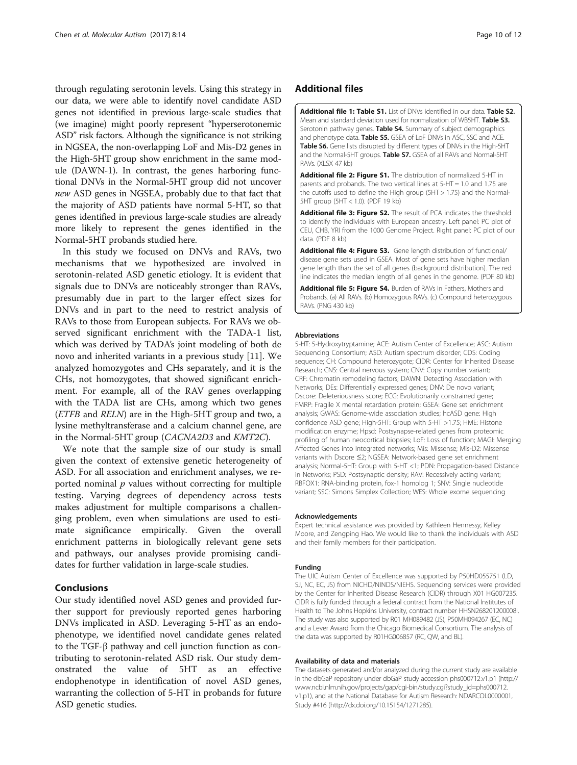<span id="page-9-0"></span>through regulating serotonin levels. Using this strategy in our data, we were able to identify novel candidate ASD genes not identified in previous large-scale studies that (we imagine) might poorly represent "hyperserotonemic ASD" risk factors. Although the significance is not striking in NGSEA, the non-overlapping LoF and Mis-D2 genes in the High-5HT group show enrichment in the same module (DAWN-1). In contrast, the genes harboring functional DNVs in the Normal-5HT group did not uncover new ASD genes in NGSEA, probably due to that fact that the majority of ASD patients have normal 5-HT, so that genes identified in previous large-scale studies are already more likely to represent the genes identified in the Normal-5HT probands studied here.

In this study we focused on DNVs and RAVs, two mechanisms that we hypothesized are involved in serotonin-related ASD genetic etiology. It is evident that signals due to DNVs are noticeably stronger than RAVs, presumably due in part to the larger effect sizes for DNVs and in part to the need to restrict analysis of RAVs to those from European subjects. For RAVs we observed significant enrichment with the TADA-1 list, which was derived by TADA's joint modeling of both de novo and inherited variants in a previous study [[11\]](#page-10-0). We analyzed homozygotes and CHs separately, and it is the CHs, not homozygotes, that showed significant enrichment. For example, all of the RAV genes overlapping with the TADA list are CHs, among which two genes (ETFB and RELN) are in the High-5HT group and two, a lysine methyltransferase and a calcium channel gene, are in the Normal-5HT group (CACNA2D3 and KMT2C).

We note that the sample size of our study is small given the context of extensive genetic heterogeneity of ASD. For all association and enrichment analyses, we reported nominal  $p$  values without correcting for multiple testing. Varying degrees of dependency across tests makes adjustment for multiple comparisons a challenging problem, even when simulations are used to estimate significance empirically. Given the overall enrichment patterns in biologically relevant gene sets and pathways, our analyses provide promising candidates for further validation in large-scale studies.

#### Conclusions

Our study identified novel ASD genes and provided further support for previously reported genes harboring DNVs implicated in ASD. Leveraging 5-HT as an endophenotype, we identified novel candidate genes related to the TGF-β pathway and cell junction function as contributing to serotonin-related ASD risk. Our study demonstrated the value of 5HT as an effective endophenotype in identification of novel ASD genes, warranting the collection of 5-HT in probands for future ASD genetic studies.

## Additional files

[Additional file 1: Table S1.](dx.doi.org/10.1186/s13229-017-0130-3) List of DNVs identified in our data. Table S2. Mean and standard deviation used for normalization of WB5HT. Table S3. Serotonin pathway genes. Table S4. Summary of subject demographics and phenotype data. Table S5. GSEA of LoF DNVs in ASC, SSC and ACE. Table S6. Gene lists disrupted by different types of DNVs in the High-5HT and the Normal-5HT groups. Table S7. GSEA of all RAVs and Normal-5HT RAVs. (XLSX 47 kb)

[Additional file 2: Figure S1.](dx.doi.org/10.1186/s13229-017-0130-3) The distribution of normalized 5-HT in parents and probands. The two vertical lines at 5-HT = 1.0 and 1.75 are the cutoffs used to define the High group (5HT > 1.75) and the Normal-5HT group (5HT < 1.0). (PDF 19 kb)

[Additional file 3: Figure S2.](dx.doi.org/10.1186/s13229-017-0130-3) The result of PCA indicates the threshold to identify the individuals with European ancestry. Left panel: PC plot of CEU, CHB, YRI from the 1000 Genome Project. Right panel: PC plot of our data. (PDF 8 kb)

[Additional file 4: Figure S3.](dx.doi.org/10.1186/s13229-017-0130-3) Gene length distribution of functional/ disease gene sets used in GSEA. Most of gene sets have higher median gene length than the set of all genes (background distribution). The red line indicates the median length of all genes in the genome. (PDF 80 kb)

[Additional file 5: Figure S4.](dx.doi.org/10.1186/s13229-017-0130-3) Burden of RAVs in Fathers, Mothers and Probands. (a) All RAVs. (b) Homozygous RAVs. (c) Compound heterozygous RAVs. (PNG 430 kb)

#### Abbreviations

5-HT: 5-Hydroxytryptamine; ACE: Autism Center of Excellence; ASC: Autism Sequencing Consortium; ASD: Autism spectrum disorder; CDS: Coding sequence; CH: Compound heterozygote; CIDR: Center for Inherited Disease Research; CNS: Central nervous system; CNV: Copy number variant; CRF: Chromatin remodeling factors; DAWN: Detecting Association with Networks; DEs: Differentially expressed genes; DNV: De novo variant; Dscore: Deleteriousness score; ECG: Evolutionarily constrained gene; FMRP: Fragile X mental retardation protein; GSEA: Gene set enrichment analysis; GWAS: Genome-wide association studies; hcASD gene: High confidence ASD gene; High-5HT: Group with 5-HT >1.75; HME: Histone modification enzyme; Hpsd: Postsynapse-related genes from proteomic profiling of human neocortical biopsies; LoF: Loss of function; MAGI: Merging Affected Genes into Integrated networks; Mis: Missense; Mis-D2: Missense variants with Dscore ≤2; NGSEA: Network-based gene set enrichment analysis; Normal-5HT: Group with 5-HT <1; PDN: Propagation-based Distance in Networks; PSD: Postsynaptic density; RAV: Recessively acting variant; RBFOX1: RNA-binding protein, fox-1 homolog 1; SNV: Single nucleotide variant; SSC: Simons Simplex Collection; WES: Whole exome sequencing

#### Acknowledgements

Expert technical assistance was provided by Kathleen Hennessy, Kelley Moore, and Zengping Hao. We would like to thank the individuals with ASD and their family members for their participation.

#### Funding

The UIC Autism Center of Excellence was supported by P50HD055751 (LD, SJ, NC, EC, JS) from NICHD/NINDS/NIEHS. Sequencing services were provided by the Center for Inherited Disease Research (CIDR) through X01 HG007235. CIDR is fully funded through a federal contract from the National Institutes of Health to The Johns Hopkins University, contract number HHSN268201200008I. The study was also supported by R01 MH089482 (JS), P50MH094267 (EC, NC) and a Lever Award from the Chicago Biomedical Consortium. The analysis of the data was supported by R01HG006857 (RC, QW, and BL).

#### Availability of data and materials

The datasets generated and/or analyzed during the current study are available in the dbGaP repository under dbGaP study accession phs000712.v1.p1 ([http://](http://www.ncbi.nlm.nih.gov/projects/gap/cgi-bin/study.cgi?study_id=phs000712.v1.p1) [www.ncbi.nlm.nih.gov/projects/gap/cgi-bin/study.cgi?study\\_id=phs000712.](http://www.ncbi.nlm.nih.gov/projects/gap/cgi-bin/study.cgi?study_id=phs000712.v1.p1) [v1.p1](http://www.ncbi.nlm.nih.gov/projects/gap/cgi-bin/study.cgi?study_id=phs000712.v1.p1)), and at the National Database for Autism Research: NDARCOL0000001, Study #416 [\(http://dx.doi.org/10.15154/1271285](http://dx.doi.org/10.15154/1271285)).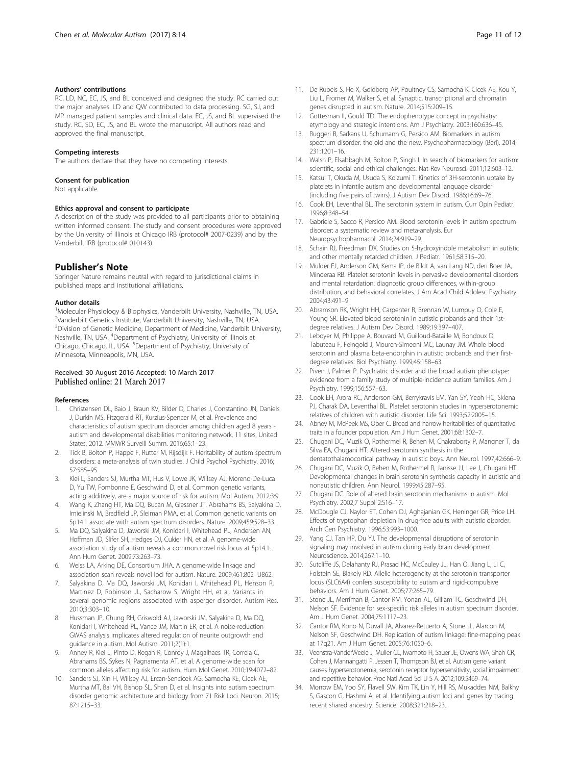#### <span id="page-10-0"></span>Authors' contributions

RC, LD, NC, EC, JS, and BL conceived and designed the study. RC carried out the major analyses. LD and QW contributed to data processing. SG, SJ, and MP managed patient samples and clinical data. EC, JS, and BL supervised the study. RC, SD, EC, JS, and BL wrote the manuscript. All authors read and approved the final manuscript.

#### Competing interests

The authors declare that they have no competing interests.

#### Consent for publication

Not applicable.

#### Ethics approval and consent to participate

A description of the study was provided to all participants prior to obtaining written informed consent. The study and consent procedures were approved by the University of Illinois at Chicago IRB (protocol# 2007-0239) and by the Vanderbilt IRB (protocol# 010143).

#### Publisher's Note

Springer Nature remains neutral with regard to jurisdictional claims in published maps and institutional affiliations.

#### Author details

<sup>1</sup>Molecular Physiology & Biophysics, Vanderbilt University, Nashville, TN, USA. <sup>2</sup>Vanderbilt Genetics Institute, Vanderbilt University, Nashville, TN, USA. <sup>3</sup>Division of Genetic Medicine, Department of Medicine, Vanderbilt University, Nashville, TN, USA. <sup>4</sup>Department of Psychiatry, University of Illinois at Chicago, Chicago, IL, USA. <sup>5</sup>Department of Psychiatry, University of Minnesota, Minneapolis, MN, USA.

#### Received: 30 August 2016 Accepted: 10 March 2017 Published online: 21 March 2017

#### References

- 1. Christensen DL, Baio J, Braun KV, Bilder D, Charles J, Constantino JN, Daniels J, Durkin MS, Fitzgerald RT, Kurzius-Spencer M, et al. Prevalence and characteristics of autism spectrum disorder among children aged 8 years autism and developmental disabilities monitoring network, 11 sites, United States, 2012. MMWR Surveill Summ. 2016;65:1–23.
- 2. Tick B, Bolton P, Happe F, Rutter M, Rijsdijk F. Heritability of autism spectrum disorders: a meta-analysis of twin studies. J Child Psychol Psychiatry. 2016; 57:585–95.
- Klei L, Sanders SJ, Murtha MT, Hus V, Lowe JK, Willsey AJ, Moreno-De-Luca D, Yu TW, Fombonne E, Geschwind D, et al. Common genetic variants, acting additively, are a major source of risk for autism. Mol Autism. 2012;3:9.
- 4. Wang K, Zhang HT, Ma DQ, Bucan M, Glessner JT, Abrahams BS, Salyakina D, Imielinski M, Bradfield JP, Sleiman PMA, et al. Common genetic variants on 5p14.1 associate with autism spectrum disorders. Nature. 2009;459:528–33.
- 5. Ma DQ, Salyakina D, Jaworski JM, Konidari I, Whitehead PL, Andersen AN, Hoffman JD, Slifer SH, Hedges DJ, Cukier HN, et al. A genome-wide association study of autism reveals a common novel risk locus at 5p14.1. Ann Hum Genet. 2009;73:263–73.
- 6. Weiss LA, Arking DE, Consortium JHA. A genome-wide linkage and association scan reveals novel loci for autism. Nature. 2009;461:802–U862.
- 7. Salyakina D, Ma DQ, Jaworski JM, Konidari I, Whitehead PL, Henson R, Martinez D, Robinson JL, Sacharow S, Wright HH, et al. Variants in several genomic regions associated with asperger disorder. Autism Res. 2010;3:303–10.
- 8. Hussman JP, Chung RH, Griswold AJ, Jaworski JM, Salyakina D, Ma DQ, Konidari I, Whitehead PL, Vance JM, Martin ER, et al. A noise-reduction GWAS analysis implicates altered regulation of neurite outgrowth and guidance in autism. Mol Autism. 2011;2(1):1.
- Anney R, Klei L, Pinto D, Regan R, Conroy J, Magalhaes TR, Correia C, Abrahams BS, Sykes N, Pagnamenta AT, et al. A genome-wide scan for common alleles affecting risk for autism. Hum Mol Genet. 2010;19:4072–82.
- 10. Sanders SJ, Xin H, Willsey AJ, Ercan-Sencicek AG, Samocha KE, Cicek AE, Murtha MT, Bal VH, Bishop SL, Shan D, et al. Insights into autism spectrum disorder genomic architecture and biology from 71 Risk Loci. Neuron. 2015; 87:1215–33.
- 11. De Rubeis S, He X, Goldberg AP, Poultney CS, Samocha K, Cicek AE, Kou Y, Liu L, Fromer M, Walker S, et al. Synaptic, transcriptional and chromatin genes disrupted in autism. Nature. 2014;515:209–15.
- 12. Gottesman II, Gould TD. The endophenotype concept in psychiatry: etymology and strategic intentions. Am J Psychiatry. 2003;160:636–45.
- 13. Ruggeri B, Sarkans U, Schumann G, Persico AM. Biomarkers in autism spectrum disorder: the old and the new. Psychopharmacology (Berl). 2014; 231:1201–16.
- 14. Walsh P, Elsabbagh M, Bolton P, Singh I. In search of biomarkers for autism: scientific, social and ethical challenges. Nat Rev Neurosci. 2011;12:603–12.
- 15. Katsui T, Okuda M, Usuda S, Koizumi T. Kinetics of 3H-serotonin uptake by platelets in infantile autism and developmental language disorder (including five pairs of twins). J Autism Dev Disord. 1986;16:69–76.
- 16. Cook EH, Leventhal BL. The serotonin system in autism. Curr Opin Pediatr. 1996;8:348–54.
- 17. Gabriele S, Sacco R, Persico AM. Blood serotonin levels in autism spectrum disorder: a systematic review and meta-analysis. Eur Neuropsychopharmacol. 2014;24:919–29.
- 18. Schain RJ, Freedman DX. Studies on 5-hydroxyindole metabolism in autistic and other mentally retarded children. J Pediatr. 1961;58:315–20.
- 19. Mulder EJ, Anderson GM, Kema IP, de Bildt A, van Lang ND, den Boer JA, Minderaa RB. Platelet serotonin levels in pervasive developmental disorders and mental retardation: diagnostic group differences, within-group distribution, and behavioral correlates. J Am Acad Child Adolesc Psychiatry. 2004;43:491–9.
- 20. Abramson RK, Wright HH, Carpenter R, Brennan W, Lumpuy O, Cole E, Young SR. Elevated blood serotonin in autistic probands and their 1stdegree relatives. J Autism Dev Disord. 1989;19:397–407.
- 21. Leboyer M, Philippe A, Bouvard M, Guilloud-Bataille M, Bondoux D, Tabuteau F, Feingold J, Mouren-Simeoni MC, Launay JM. Whole blood serotonin and plasma beta-endorphin in autistic probands and their firstdegree relatives. Biol Psychiatry. 1999;45:158–63.
- 22. Piven J, Palmer P. Psychiatric disorder and the broad autism phenotype: evidence from a family study of multiple-incidence autism families. Am J Psychiatry. 1999;156:557–63.
- 23. Cook EH, Arora RC, Anderson GM, Berrykravis EM, Yan SY, Yeoh HC, Sklena PJ, Charak DA, Leventhal BL. Platelet serotonin studies in hyperserotonemic relatives of children with autistic disorder. Life Sci. 1993;52:2005–15.
- 24. Abney M, McPeek MS, Ober C. Broad and narrow heritabilities of quantitative traits in a founder population. Am J Hum Genet. 2001;68:1302–7.
- 25. Chugani DC, Muzik O, Rothermel R, Behen M, Chakraborty P, Mangner T, da Silva EA, Chugani HT. Altered serotonin synthesis in the dentatothalamocortical pathway in autistic boys. Ann Neurol. 1997;42:666–9.
- 26. Chugani DC, Muzik O, Behen M, Rothermel R, Janisse JJ, Lee J, Chugani HT. Developmental changes in brain serotonin synthesis capacity in autistic and nonautistic children. Ann Neurol. 1999;45:287–95.
- 27. Chugani DC. Role of altered brain serotonin mechanisms in autism. Mol Psychiatry. 2002;7 Suppl 2:S16–17.
- 28. McDougle CJ, Naylor ST, Cohen DJ, Aghajanian GK, Heninger GR, Price LH. Effects of tryptophan depletion in drug-free adults with autistic disorder. Arch Gen Psychiatry. 1996;53:993–1000.
- 29. Yang CJ, Tan HP, Du YJ. The developmental disruptions of serotonin signaling may involved in autism during early brain development. Neuroscience. 2014;267:1–10.
- 30. Sutcliffe JS, Delahanty RJ, Prasad HC, McCauley JL, Han Q, Jiang L, Li C, Folstein SE, Blakely RD. Allelic heterogeneity at the serotonin transporter locus (SLC6A4) confers susceptibility to autism and rigid-compulsive behaviors. Am J Hum Genet. 2005;77:265–79.
- 31. Stone JL, Merriman B, Cantor RM, Yonan AL, Gilliam TC, Geschwind DH, Nelson SF. Evidence for sex-specific risk alleles in autism spectrum disorder. Am J Hum Genet. 2004;75:1117–23.
- 32. Cantor RM, Kono N, Duvall JA, Alvarez-Retuerto A, Stone JL, Alarcon M, Nelson SF, Geschwind DH. Replication of autism linkage: fine-mapping peak at 17q21. Am J Hum Genet. 2005;76:1050–6.
- 33. Veenstra-VanderWeele J, Muller CL, Iwamoto H, Sauer JE, Owens WA, Shah CR, Cohen J, Mannangatti P, Jessen T, Thompson BJ, et al. Autism gene variant causes hyperserotonemia, serotonin receptor hypersensitivity, social impairment and repetitive behavior. Proc Natl Acad Sci U S A. 2012;109:5469–74.
- 34. Morrow EM, Yoo SY, Flavell SW, Kim TK, Lin Y, Hill RS, Mukaddes NM, Balkhy S, Gascon G, Hashmi A, et al. Identifying autism loci and genes by tracing recent shared ancestry. Science. 2008;321:218–23.